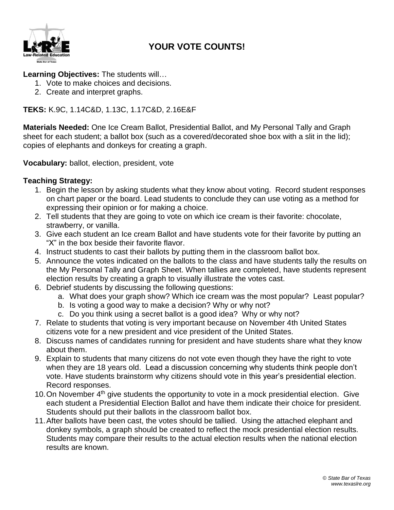

### **YOUR VOTE COUNTS!**

#### **Learning Objectives:** The students will…

- 1. Vote to make choices and decisions.
- 2. Create and interpret graphs.

#### **TEKS:** K.9C, 1.14C&D, 1.13C, 1.17C&D, 2.16E&F

**Materials Needed:** One Ice Cream Ballot, Presidential Ballot, and My Personal Tally and Graph sheet for each student; a ballot box (such as a covered/decorated shoe box with a slit in the lid); copies of elephants and donkeys for creating a graph.

**Vocabulary:** ballot, election, president, vote

#### **Teaching Strategy:**

- 1. Begin the lesson by asking students what they know about voting. Record student responses on chart paper or the board. Lead students to conclude they can use voting as a method for expressing their opinion or for making a choice.
- 2. Tell students that they are going to vote on which ice cream is their favorite: chocolate, strawberry, or vanilla.
- 3. Give each student an Ice cream Ballot and have students vote for their favorite by putting an "X" in the box beside their favorite flavor.
- 4. Instruct students to cast their ballots by putting them in the classroom ballot box.
- 5. Announce the votes indicated on the ballots to the class and have students tally the results on the My Personal Tally and Graph Sheet. When tallies are completed, have students represent election results by creating a graph to visually illustrate the votes cast.
- 6. Debrief students by discussing the following questions:
	- a. What does your graph show? Which ice cream was the most popular? Least popular?
	- b. Is voting a good way to make a decision? Why or why not?
	- c. Do you think using a secret ballot is a good idea? Why or why not?
- 7. Relate to students that voting is very important because on November 4th United States citizens vote for a new president and vice president of the United States.
- 8. Discuss names of candidates running for president and have students share what they know about them.
- 9. Explain to students that many citizens do not vote even though they have the right to vote when they are 18 years old. Lead a discussion concerning why students think people don't vote. Have students brainstorm why citizens should vote in this year's presidential election. Record responses.
- 10. On November 4<sup>th</sup> give students the opportunity to vote in a mock presidential election. Give each student a Presidential Election Ballot and have them indicate their choice for president. Students should put their ballots in the classroom ballot box.
- 11.After ballots have been cast, the votes should be tallied. Using the attached elephant and donkey symbols, a graph should be created to reflect the mock presidential election results. Students may compare their results to the actual election results when the national election results are known.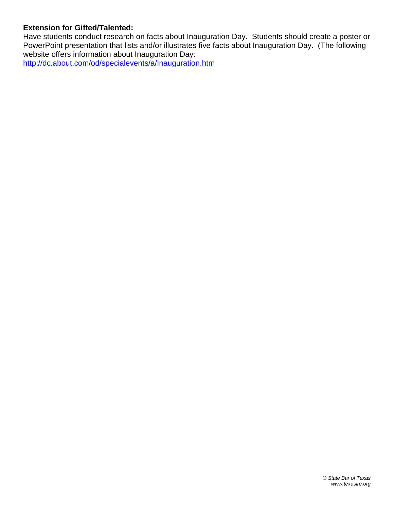#### **Extension for Gifted/Talented:**

Have students conduct research on facts about Inauguration Day. Students should create a poster or PowerPoint presentation that lists and/or illustrates five facts about Inauguration Day. (The following website offers information about Inauguration Day:

<http://dc.about.com/od/specialevents/a/Inauguration.htm>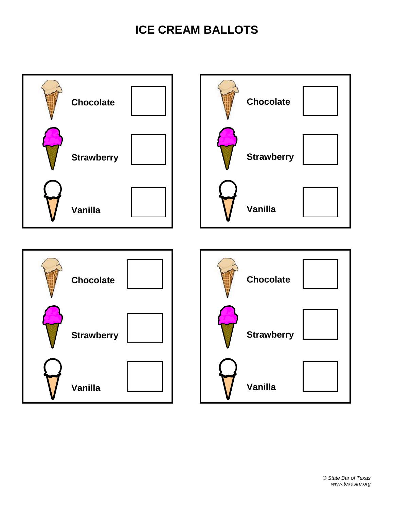### **ICE CREAM BALLOTS**

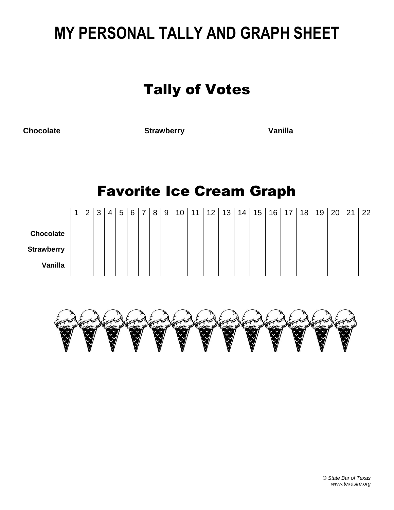# **MY PERSONAL TALLY AND GRAPH SHEET**

## Tally of Votes

**Chocolate\_\_\_\_\_\_\_\_\_\_\_\_\_\_\_\_\_\_\_ Strawberry\_\_\_\_\_\_\_\_\_\_\_\_\_\_\_\_\_\_\_ Vanilla \_\_\_\_\_\_\_\_\_\_\_\_\_\_\_\_\_\_\_\_**

## Favorite Ice Cream Graph

|                   | 2 <sub>1</sub> | -3 I | 4 |  | 5 6 7 8 9 |  | 10   11   12 |  | 13   14 | 15   16   17 |  | 18 | 19 <sub>1</sub> | 20 | 21 | 22 |
|-------------------|----------------|------|---|--|-----------|--|--------------|--|---------|--------------|--|----|-----------------|----|----|----|
| <b>Chocolate</b>  |                |      |   |  |           |  |              |  |         |              |  |    |                 |    |    |    |
| <b>Strawberry</b> |                |      |   |  |           |  |              |  |         |              |  |    |                 |    |    |    |
| Vanilla           |                |      |   |  |           |  |              |  |         |              |  |    |                 |    |    |    |